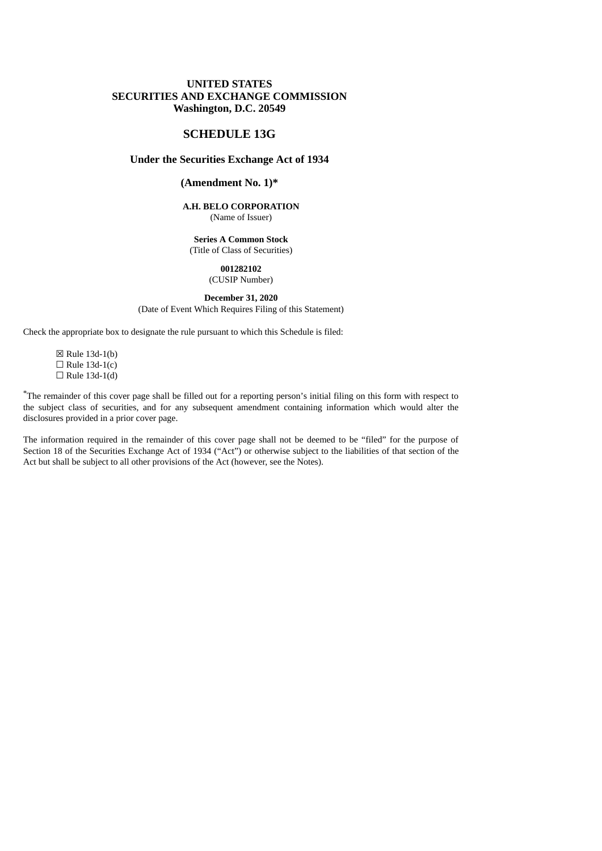### **UNITED STATES SECURITIES AND EXCHANGE COMMISSION Washington, D.C. 20549**

### **SCHEDULE 13G**

### **Under the Securities Exchange Act of 1934**

## **(Amendment No. 1)\***

#### **A.H. BELO CORPORATION** (Name of Issuer)

**Series A Common Stock** (Title of Class of Securities)

#### **001282102** (CUSIP Number)

## **December 31, 2020**

(Date of Event Which Requires Filing of this Statement)

Check the appropriate box to designate the rule pursuant to which this Schedule is filed:

☒ Rule 13d-1(b)  $\Box$  Rule 13d-1(c)  $\Box$  Rule 13d-1(d)

\*The remainder of this cover page shall be filled out for a reporting person's initial filing on this form with respect to the subject class of securities, and for any subsequent amendment containing information which would alter the disclosures provided in a prior cover page.

The information required in the remainder of this cover page shall not be deemed to be "filed" for the purpose of Section 18 of the Securities Exchange Act of 1934 ("Act") or otherwise subject to the liabilities of that section of the Act but shall be subject to all other provisions of the Act (however, see the Notes).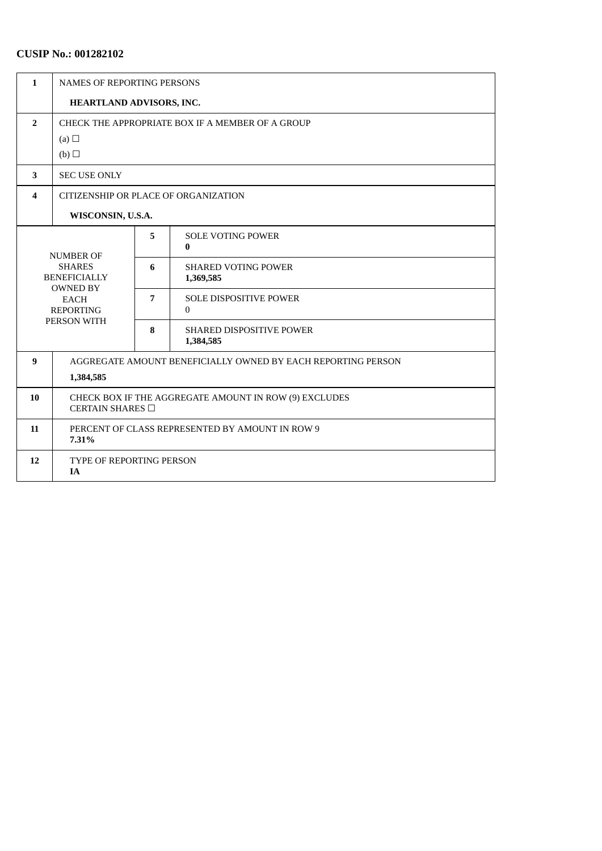# **CUSIP No.: 001282102**

| $\mathbf{1}$     | <b>NAMES OF REPORTING PERSONS</b>                                                                         |   |                                           |  |  |
|------------------|-----------------------------------------------------------------------------------------------------------|---|-------------------------------------------|--|--|
|                  | HEARTLAND ADVISORS, INC.                                                                                  |   |                                           |  |  |
| $\overline{2}$   | CHECK THE APPROPRIATE BOX IF A MEMBER OF A GROUP                                                          |   |                                           |  |  |
|                  | (a) $\Box$                                                                                                |   |                                           |  |  |
|                  | (b)                                                                                                       |   |                                           |  |  |
| 3                | <b>SEC USE ONLY</b>                                                                                       |   |                                           |  |  |
| 4                | CITIZENSHIP OR PLACE OF ORGANIZATION                                                                      |   |                                           |  |  |
|                  | WISCONSIN, U.S.A.                                                                                         |   |                                           |  |  |
| <b>NUMBER OF</b> |                                                                                                           | 5 | <b>SOLE VOTING POWER</b><br>$\bf{0}$      |  |  |
|                  | <b>SHARES</b><br><b>BENEFICIALLY</b><br><b>OWNED BY</b><br><b>EACH</b><br><b>REPORTING</b><br>PERSON WITH |   | <b>SHARED VOTING POWER</b><br>1,369,585   |  |  |
|                  |                                                                                                           |   | <b>SOLE DISPOSITIVE POWER</b><br>$\Omega$ |  |  |
|                  |                                                                                                           |   | SHARED DISPOSITIVE POWER<br>1,384,585     |  |  |
| 9                | AGGREGATE AMOUNT BENEFICIALLY OWNED BY EACH REPORTING PERSON                                              |   |                                           |  |  |
|                  | 1,384,585                                                                                                 |   |                                           |  |  |
| 10               | CHECK BOX IF THE AGGREGATE AMOUNT IN ROW (9) EXCLUDES<br>CERTAIN SHARES □                                 |   |                                           |  |  |
| 11               | PERCENT OF CLASS REPRESENTED BY AMOUNT IN ROW 9<br>7.31%                                                  |   |                                           |  |  |
| 12               | TYPE OF REPORTING PERSON<br><b>IA</b>                                                                     |   |                                           |  |  |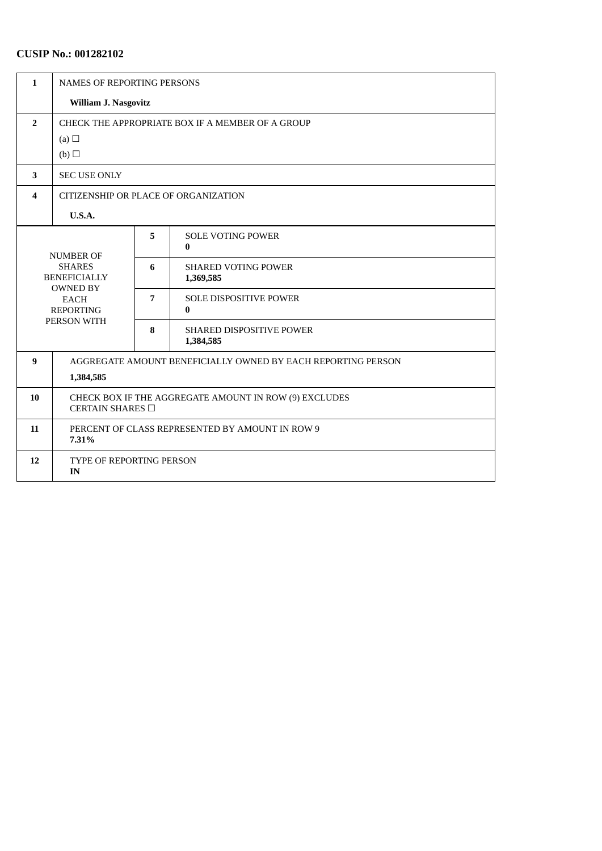# **CUSIP No.: 001282102**

| $\mathbf{1}$                                             | <b>NAMES OF REPORTING PERSONS</b>                                              |   |                                              |  |  |
|----------------------------------------------------------|--------------------------------------------------------------------------------|---|----------------------------------------------|--|--|
|                                                          | <b>William J. Nasgovitz</b>                                                    |   |                                              |  |  |
| $\overline{2}$                                           | CHECK THE APPROPRIATE BOX IF A MEMBER OF A GROUP<br>(a) $\Box$                 |   |                                              |  |  |
|                                                          | (b)                                                                            |   |                                              |  |  |
| 3                                                        | <b>SEC USE ONLY</b>                                                            |   |                                              |  |  |
| 4                                                        | CITIZENSHIP OR PLACE OF ORGANIZATION                                           |   |                                              |  |  |
|                                                          | U.S.A.                                                                         |   |                                              |  |  |
| <b>NUMBER OF</b><br><b>SHARES</b><br><b>BENEFICIALLY</b> |                                                                                | 5 | <b>SOLE VOTING POWER</b><br>$\bf{0}$         |  |  |
|                                                          |                                                                                | 6 | <b>SHARED VOTING POWER</b><br>1,369,585      |  |  |
|                                                          | <b>OWNED BY</b><br><b>EACH</b><br><b>REPORTING</b><br>PERSON WITH              |   | <b>SOLE DISPOSITIVE POWER</b><br>0           |  |  |
|                                                          |                                                                                |   | <b>SHARED DISPOSITIVE POWER</b><br>1,384,585 |  |  |
| 9                                                        | AGGREGATE AMOUNT BENEFICIALLY OWNED BY EACH REPORTING PERSON                   |   |                                              |  |  |
|                                                          | 1,384,585                                                                      |   |                                              |  |  |
| 10                                                       | CHECK BOX IF THE AGGREGATE AMOUNT IN ROW (9) EXCLUDES<br>CERTAIN SHARES $\Box$ |   |                                              |  |  |
| 11                                                       | PERCENT OF CLASS REPRESENTED BY AMOUNT IN ROW 9<br>7.31%                       |   |                                              |  |  |
| 12                                                       | <b>TYPE OF REPORTING PERSON</b><br>IN                                          |   |                                              |  |  |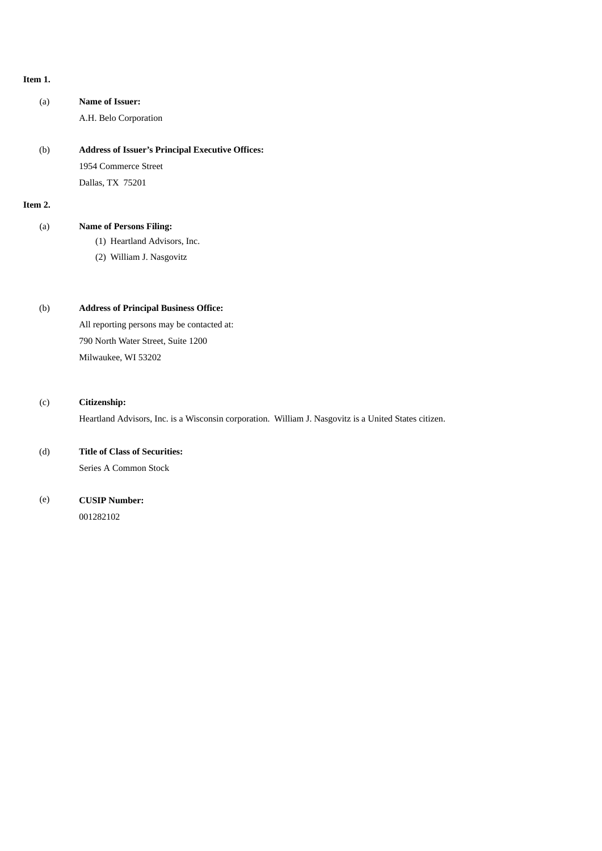#### **Item 1.**

| (a)     | Name of Issuer:<br>A.H. Belo Corporation                |
|---------|---------------------------------------------------------|
| (b)     | <b>Address of Issuer's Principal Executive Offices:</b> |
|         | 1954 Commerce Street                                    |
|         | Dallas, TX 75201                                        |
| Item 2. |                                                         |
| (a)     | <b>Name of Persons Filing:</b>                          |
|         | (1) Heartland Advisors, Inc.                            |
|         | (2) William J. Nasgovitz                                |

## (b) **Address of Principal Business Office:**

All reporting persons may be contacted at: 790 North Water Street, Suite 1200 Milwaukee, WI 53202

### (c) **Citizenship:**

Heartland Advisors, Inc. is a Wisconsin corporation. William J. Nasgovitz is a United States citizen.

### (d) **Title of Class of Securities:**

Series A Common Stock

## (e) **CUSIP Number:**

001282102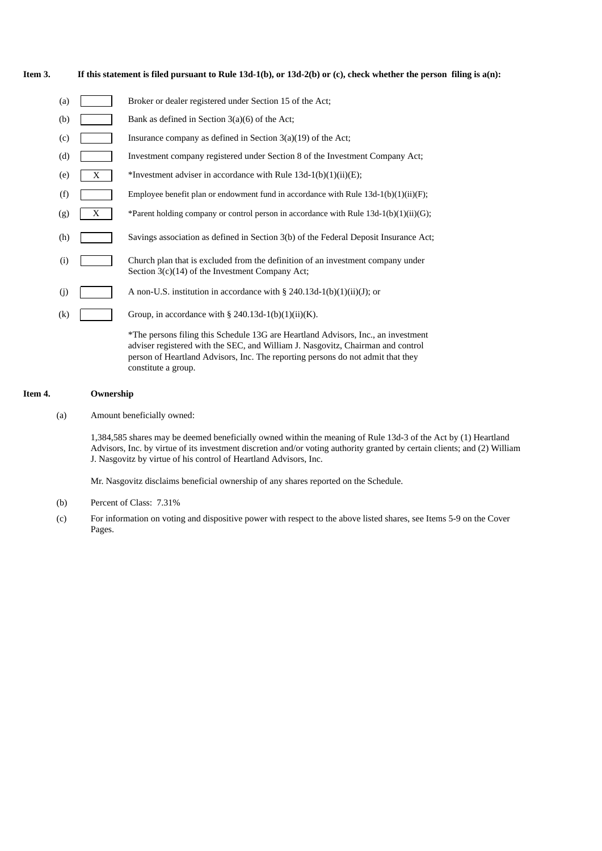#### Item 3. If this statement is filed pursuant to Rule 13d-1(b), or 13d-2(b) or (c), check whether the person filing is a(n):

| (a) |   | Broker or dealer registered under Section 15 of the Act;                                                                                                          |
|-----|---|-------------------------------------------------------------------------------------------------------------------------------------------------------------------|
| (b) |   | Bank as defined in Section 3(a)(6) of the Act;                                                                                                                    |
| (c) |   | Insurance company as defined in Section $3(a)(19)$ of the Act;                                                                                                    |
| (d) |   | Investment company registered under Section 8 of the Investment Company Act;                                                                                      |
| (e) | X | *Investment adviser in accordance with Rule $13d-1(b)(1)(ii)(E)$ ;                                                                                                |
| (f) |   | Employee benefit plan or endowment fund in accordance with Rule $13d-1(b)(1)(ii)(F)$ ;                                                                            |
| (g) | X | *Parent holding company or control person in accordance with Rule $13d-1(b)(1)(ii)(G)$ ;                                                                          |
| (h) |   | Savings association as defined in Section 3(b) of the Federal Deposit Insurance Act;                                                                              |
| (i) |   | Church plan that is excluded from the definition of an investment company under<br>Section $3(c)(14)$ of the Investment Company Act;                              |
| (j) |   | A non-U.S. institution in accordance with $\S 240.13d-1(b)(1)(ii)(J)$ ; or                                                                                        |
| (k) |   | Group, in accordance with § 240.13d-1(b)(1)(ii)(K).                                                                                                               |
|     |   | *The persons filing this Schedule 13G are Heartland Advisors, Inc., an investment<br>adviser registered with the SEC and William I Nasgovitz Chairman and control |

adviser registered with the SEC, and William J. Nasgovitz, Chairman and control person of Heartland Advisors, Inc. The reporting persons do not admit that they constitute a group.

#### **Item 4. Ownership**

(a) Amount beneficially owned:

1,384,585 shares may be deemed beneficially owned within the meaning of Rule 13d-3 of the Act by (1) Heartland Advisors, Inc. by virtue of its investment discretion and/or voting authority granted by certain clients; and (2) William J. Nasgovitz by virtue of his control of Heartland Advisors, Inc.

Mr. Nasgovitz disclaims beneficial ownership of any shares reported on the Schedule.

- (b) Percent of Class: 7.31%
- (c) For information on voting and dispositive power with respect to the above listed shares, see Items 5-9 on the Cover Pages.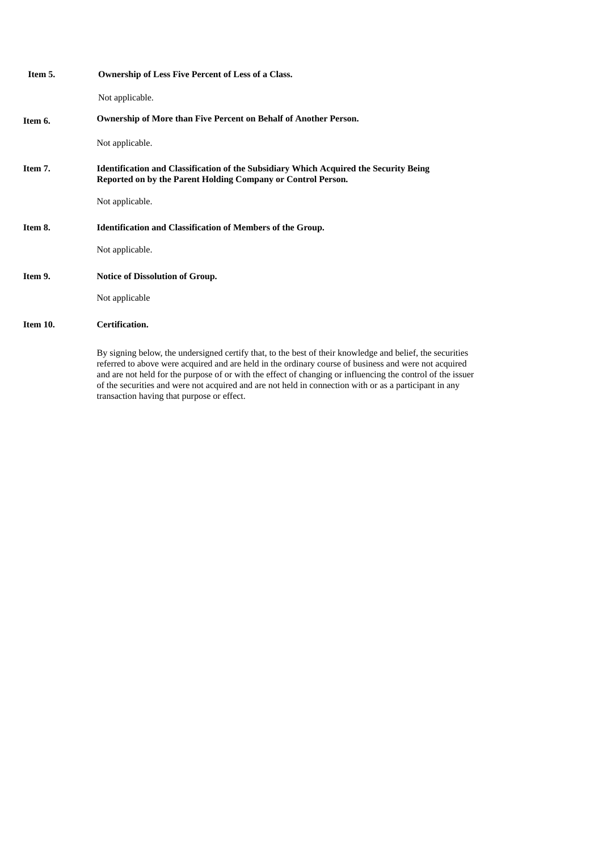| Item 5.  | Ownership of Less Five Percent of Less of a Class.                                                                                                                                                                                                                                                                                |
|----------|-----------------------------------------------------------------------------------------------------------------------------------------------------------------------------------------------------------------------------------------------------------------------------------------------------------------------------------|
|          | Not applicable.                                                                                                                                                                                                                                                                                                                   |
| Item 6.  | Ownership of More than Five Percent on Behalf of Another Person.                                                                                                                                                                                                                                                                  |
|          | Not applicable.                                                                                                                                                                                                                                                                                                                   |
| Item 7.  | <b>Identification and Classification of the Subsidiary Which Acquired the Security Being</b><br>Reported on by the Parent Holding Company or Control Person.                                                                                                                                                                      |
|          | Not applicable.                                                                                                                                                                                                                                                                                                                   |
| Item 8.  | <b>Identification and Classification of Members of the Group.</b>                                                                                                                                                                                                                                                                 |
|          | Not applicable.                                                                                                                                                                                                                                                                                                                   |
| Item 9.  | <b>Notice of Dissolution of Group.</b>                                                                                                                                                                                                                                                                                            |
|          | Not applicable                                                                                                                                                                                                                                                                                                                    |
| Item 10. | <b>Certification.</b>                                                                                                                                                                                                                                                                                                             |
|          | By signing below, the undersigned certify that, to the best of their knowledge and belief, the securities<br>referred to above were acquired and are held in the ordinary course of business and were not acquired<br>and are not held for the purpose of or with the effect of changing or influencing the control of the issuer |

transaction having that purpose or effect.

of the securities and were not acquired and are not held in connection with or as a participant in any